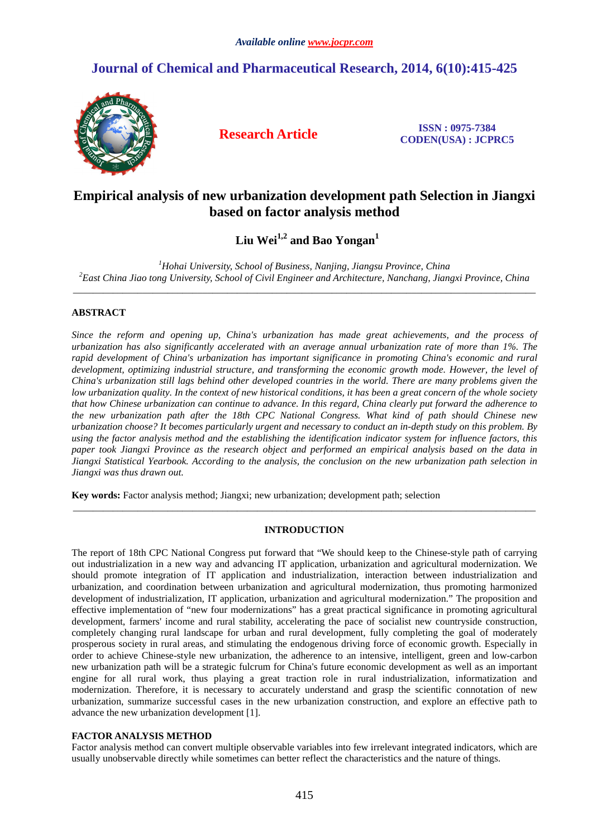# **Journal of Chemical and Pharmaceutical Research, 2014, 6(10):415-425**



**Research Article ISSN : 0975-7384 CODEN(USA) : JCPRC5**

# **Empirical analysis of new urbanization development path Selection in Jiangxi based on factor analysis method**

# **Liu Wei1,2 and Bao Yongan<sup>1</sup>**

*<sup>1</sup>Hohai University, School of Business, Nanjing, Jiangsu Province, China <sup>2</sup>East China Jiao tong University, School of Civil Engineer and Architecture, Nanchang, Jiangxi Province, China*  \_\_\_\_\_\_\_\_\_\_\_\_\_\_\_\_\_\_\_\_\_\_\_\_\_\_\_\_\_\_\_\_\_\_\_\_\_\_\_\_\_\_\_\_\_\_\_\_\_\_\_\_\_\_\_\_\_\_\_\_\_\_\_\_\_\_\_\_\_\_\_\_\_\_\_\_\_\_\_\_\_\_\_\_\_\_\_\_\_\_\_\_\_

# **ABSTRACT**

*Since the reform and opening up, China's urbanization has made great achievements, and the process of urbanization has also significantly accelerated with an average annual urbanization rate of more than 1%. The rapid development of China's urbanization has important significance in promoting China's economic and rural development, optimizing industrial structure, and transforming the economic growth mode. However, the level of China's urbanization still lags behind other developed countries in the world. There are many problems given the low urbanization quality. In the context of new historical conditions, it has been a great concern of the whole society that how Chinese urbanization can continue to advance. In this regard, China clearly put forward the adherence to the new urbanization path after the 18th CPC National Congress. What kind of path should Chinese new urbanization choose? It becomes particularly urgent and necessary to conduct an in-depth study on this problem. By using the factor analysis method and the establishing the identification indicator system for influence factors, this paper took Jiangxi Province as the research object and performed an empirical analysis based on the data in Jiangxi Statistical Yearbook. According to the analysis, the conclusion on the new urbanization path selection in Jiangxi was thus drawn out.* 

**Key words:** Factor analysis method; Jiangxi; new urbanization; development path; selection

# **INTRODUCTION**

\_\_\_\_\_\_\_\_\_\_\_\_\_\_\_\_\_\_\_\_\_\_\_\_\_\_\_\_\_\_\_\_\_\_\_\_\_\_\_\_\_\_\_\_\_\_\_\_\_\_\_\_\_\_\_\_\_\_\_\_\_\_\_\_\_\_\_\_\_\_\_\_\_\_\_\_\_\_\_\_\_\_\_\_\_\_\_\_\_\_\_\_\_

The report of 18th CPC National Congress put forward that "We should keep to the Chinese-style path of carrying out industrialization in a new way and advancing IT application, urbanization and agricultural modernization. We should promote integration of IT application and industrialization, interaction between industrialization and urbanization, and coordination between urbanization and agricultural modernization, thus promoting harmonized development of industrialization, IT application, urbanization and agricultural modernization." The proposition and effective implementation of "new four modernizations" has a great practical significance in promoting agricultural development, farmers' income and rural stability, accelerating the pace of socialist new countryside construction, completely changing rural landscape for urban and rural development, fully completing the goal of moderately prosperous society in rural areas, and stimulating the endogenous driving force of economic growth. Especially in order to achieve Chinese-style new urbanization, the adherence to an intensive, intelligent, green and low-carbon new urbanization path will be a strategic fulcrum for China's future economic development as well as an important engine for all rural work, thus playing a great traction role in rural industrialization, informatization and modernization. Therefore, it is necessary to accurately understand and grasp the scientific connotation of new urbanization, summarize successful cases in the new urbanization construction, and explore an effective path to advance the new urbanization development [1].

# **FACTOR ANALYSIS METHOD**

Factor analysis method can convert multiple observable variables into few irrelevant integrated indicators, which are usually unobservable directly while sometimes can better reflect the characteristics and the nature of things.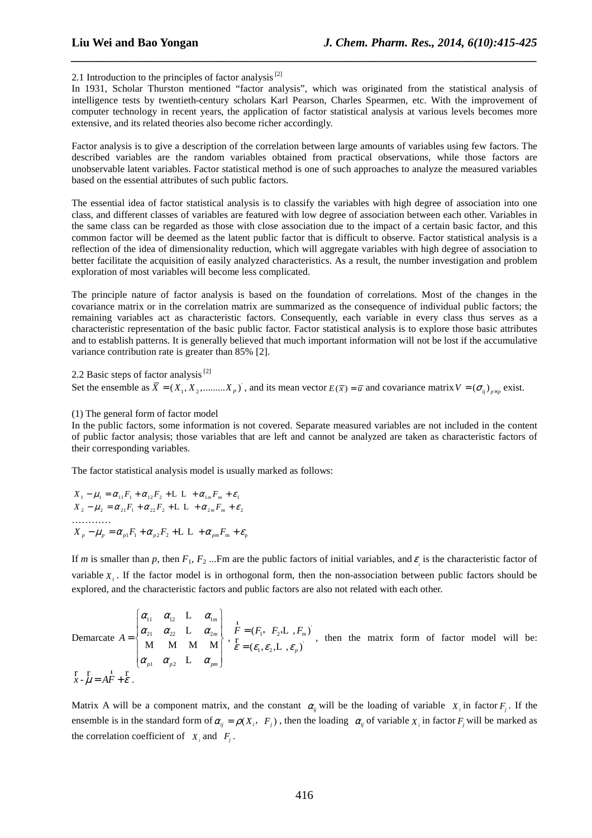2.1 Introduction to the principles of factor analysis  $^{[2]}$ 

In 1931, Scholar Thurston mentioned "factor analysis", which was originated from the statistical analysis of intelligence tests by twentieth-century scholars Karl Pearson, Charles Spearmen, etc. With the improvement of computer technology in recent years, the application of factor statistical analysis at various levels becomes more extensive, and its related theories also become richer accordingly.

*\_\_\_\_\_\_\_\_\_\_\_\_\_\_\_\_\_\_\_\_\_\_\_\_\_\_\_\_\_\_\_\_\_\_\_\_\_\_\_\_\_\_\_\_\_\_\_\_\_\_\_\_\_\_\_\_\_\_\_\_\_\_\_\_\_\_\_\_\_\_\_\_\_\_\_\_\_\_*

Factor analysis is to give a description of the correlation between large amounts of variables using few factors. The described variables are the random variables obtained from practical observations, while those factors are unobservable latent variables. Factor statistical method is one of such approaches to analyze the measured variables based on the essential attributes of such public factors.

The essential idea of factor statistical analysis is to classify the variables with high degree of association into one class, and different classes of variables are featured with low degree of association between each other. Variables in the same class can be regarded as those with close association due to the impact of a certain basic factor, and this common factor will be deemed as the latent public factor that is difficult to observe. Factor statistical analysis is a reflection of the idea of dimensionality reduction, which will aggregate variables with high degree of association to better facilitate the acquisition of easily analyzed characteristics. As a result, the number investigation and problem exploration of most variables will become less complicated.

The principle nature of factor analysis is based on the foundation of correlations. Most of the changes in the covariance matrix or in the correlation matrix are summarized as the consequence of individual public factors; the remaining variables act as characteristic factors. Consequently, each variable in every class thus serves as a characteristic representation of the basic public factor. Factor statistical analysis is to explore those basic attributes and to establish patterns. It is generally believed that much important information will not be lost if the accumulative variance contribution rate is greater than 85% [2].

2.2 Basic steps of factor analysis<sup>[2]</sup>

Set the ensemble as  $\overline{X} = (X_1, X_2, \dots, X_p)$ , and its mean vector  $E(\overline{x}) = \overline{u}$  and covariance matrix  $V = (\sigma_{ij})_{p \times p}$  exist.

#### (1) The general form of factor model

In the public factors, some information is not covered. Separate measured variables are not included in the content of public factor analysis; those variables that are left and cannot be analyzed are taken as characteristic factors of their corresponding variables.

The factor statistical analysis model is usually marked as follows:

$$
X_1 - \mu_1 = \alpha_{11}F_1 + \alpha_{12}F_2 + \mathbf{L} \quad \mathbf{L} + \alpha_{1m}F_m + \varepsilon_1
$$
\n
$$
X_2 - \mu_2 = \alpha_{21}F_1 + \alpha_{22}F_2 + \mathbf{L} \quad \mathbf{L} + \alpha_{2m}F_m + \varepsilon_2
$$
\n
$$
\dots
$$
\n
$$
X_p - \mu_p = \alpha_{p1}F_1 + \alpha_{p2}F_2 + \mathbf{L} \quad \mathbf{L} + \alpha_{pm}F_m + \varepsilon_p
$$

If *m* is smaller than *p*, then  $F_1, F_2$  ...Fm are the public factors of initial variables, and  $\varepsilon$  is the characteristic factor of variable  $X_1$ . If the factor model is in orthogonal form, then the non-association between public factors should be explored, and the characteristic factors and public factors are also not related with each other.

Demarcate 
$$
A = \begin{cases} \alpha_{11} & \alpha_{12} & L & \alpha_{1m} \\ \alpha_{21} & \alpha_{22} & L & \alpha_{2m} \\ M & M & M & M \\ \alpha_{p1} & \alpha_{p2} & L & \alpha_{pm} \end{cases}, \quad \begin{matrix} F = (F_1, F_2, L, F_m) \\ F = (E_1, E_2, L, F_m) \\ \vdots \\ F = (E_1, E_2, L, E_p) \end{matrix}
$$
, then the matrix form of factor model will be:  

$$
\begin{bmatrix} F & F \\ X - \mu = AF + \varepsilon \end{bmatrix}.
$$

Matrix A will be a component matrix, and the constant  $\alpha_{ij}$  will be the loading of variable  $X_i$  in factor  $F_j$ . If the ensemble is in the standard form of  $\alpha_{ij} = \rho(X_i, F_j)$ , then the loading  $\alpha_{ij}$  of variable  $X_i$  in factor  $F_j$  will be marked as the correlation coefficient of  $X_i$  and  $F_j$ .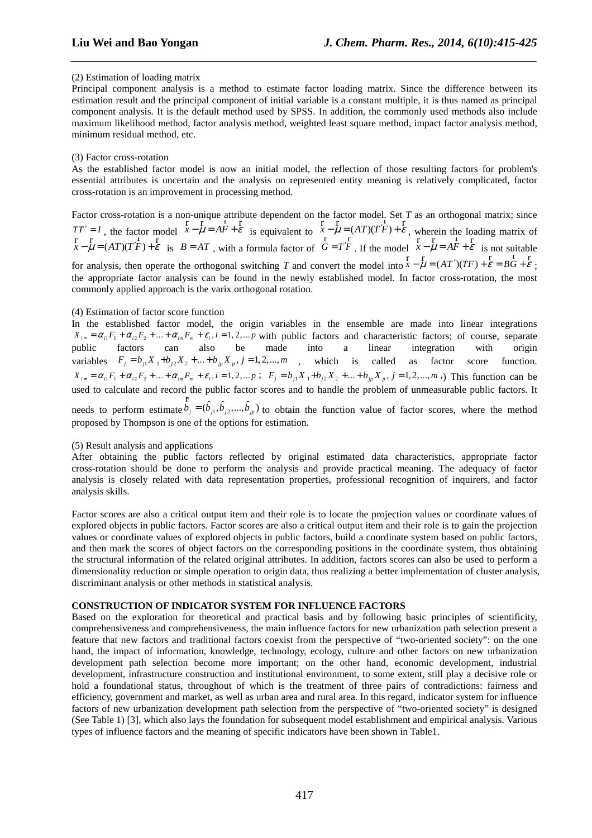# (2) Estimation of loading matrix

Principal component analysis is a method to estimate factor loading matrix. Since the difference between its estimation result and the principal component of initial variable is a constant multiple, it is thus named as principal component analysis. It is the default method used by SPSS. In addition, the commonly used methods also include maximum likelihood method, factor analysis method, weighted least square method, impact factor analysis method, minimum residual method, etc.

*\_\_\_\_\_\_\_\_\_\_\_\_\_\_\_\_\_\_\_\_\_\_\_\_\_\_\_\_\_\_\_\_\_\_\_\_\_\_\_\_\_\_\_\_\_\_\_\_\_\_\_\_\_\_\_\_\_\_\_\_\_\_\_\_\_\_\_\_\_\_\_\_\_\_\_\_\_\_*

# (3) Factor cross-rotation

As the established factor model is now an initial model, the reflection of those resulting factors for problem's essential attributes is uncertain and the analysis on represented entity meaning is relatively complicated, factor cross-rotation is an improvement in processing method.

Factor cross-rotation is a non-unique attribute dependent on the factor model. Set *T* as an orthogonal matrix; since  $TT' = I$ , the factor model  $\vec{x} - \vec{\mu} = AF + \vec{\varepsilon}$  $r \rightarrow r$   $r \rightarrow r$ is equivalent to  $\bar{x} - \mu = (AT)(T'\bar{F}) + \varepsilon$  $\frac{r}{r}$  r  $\frac{1}{(4\pi)(\pi/r)}$  r , wherein the loading matrix of *x* -  $\mu$  =  $(AT)(T^{\prime}F) + \varepsilon$ is  $B = AT$ , with a formula factor of  $G = T^F$ . If the model  $x - \mu = AF + \varepsilon$ r r  $\frac{1}{R}$  r is not suitable for analysis, then operate the orthogonal switching *T* and convert the model into  $\overline{x} - \overline{\mu} = (AT')(TF) + \overline{\varepsilon} = BG + \overline{\varepsilon}$ ; the appropriate factor analysis can be found in the newly established model. In factor cross-rotation, the most commonly applied approach is the varix orthogonal rotation.

# (4) Estimation of factor score function

In the established factor model, the origin variables in the ensemble are made into linear integrations  $X_{i} = \alpha_{i1} F_1 + \alpha_{i2} F_2 + ... + \alpha_{im} F_m + \varepsilon_i$ ,  $i = 1, 2, ...$  with public factors and characteristic factors; of course, separate public factors can also be made into a linear integration with origin variables  $F_j = b_{j1} X_1 + b_{j2} X_2 + ... + b_{j p} X_p$ ,  $j = 1, 2, ..., m$ , which is called as factor score function.  $X_{i} = \alpha_{i1} F_1 + \alpha_{i2} F_2 + \ldots + \alpha_{im} F_m + \varepsilon_i, i = 1, 2, \ldots p$ ;  $F_i = b_{i1} X_1 + b_{i2} X_2 + \ldots + b_{in} X_n$ ,  $j = 1, 2, \ldots, m$ , This function can be used to calculate and record the public factor scores and to handle the problem of unmeasurable public factors. It needs to perform estimate  $\vec{b}_j = (\hat{b}_{j1}, \hat{b}_{j2}, ..., \hat{b}_{jp})$ r

to obtain the function value of factor scores, where the method proposed by Thompson is one of the options for estimation.

#### (5) Result analysis and applications

After obtaining the public factors reflected by original estimated data characteristics, appropriate factor cross-rotation should be done to perform the analysis and provide practical meaning. The adequacy of factor analysis is closely related with data representation properties, professional recognition of inquirers, and factor analysis skills.

Factor scores are also a critical output item and their role is to locate the projection values or coordinate values of explored objects in public factors. Factor scores are also a critical output item and their role is to gain the projection values or coordinate values of explored objects in public factors, build a coordinate system based on public factors, and then mark the scores of object factors on the corresponding positions in the coordinate system, thus obtaining the structural information of the related original attributes. In addition, factors scores can also be used to perform a dimensionality reduction or simple operation to origin data, thus realizing a better implementation of cluster analysis, discriminant analysis or other methods in statistical analysis.

# **CONSTRUCTION OF INDICATOR SYSTEM FOR INFLUENCE FACTORS**

Based on the exploration for theoretical and practical basis and by following basic principles of scientificity, comprehensiveness and comprehensiveness, the main influence factors for new urbanization path selection present a feature that new factors and traditional factors coexist from the perspective of "two-oriented society": on the one hand, the impact of information, knowledge, technology, ecology, culture and other factors on new urbanization development path selection become more important; on the other hand, economic development, industrial development, infrastructure construction and institutional environment, to some extent, still play a decisive role or hold a foundational status, throughout of which is the treatment of three pairs of contradictions: fairness and efficiency, government and market, as well as urban area and rural area. In this regard, indicator system for influence factors of new urbanization development path selection from the perspective of "two-oriented society" is designed (See Table 1) [3], which also lays the foundation for subsequent model establishment and empirical analysis. Various types of influence factors and the meaning of specific indicators have been shown in Table1.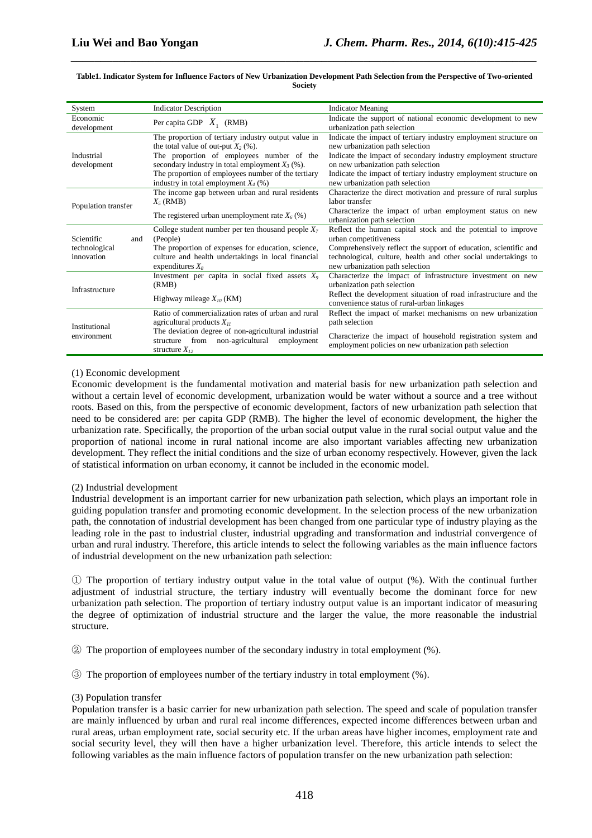| System                                           | <b>Indicator Description</b>                                                                                                                                                                                                                                                                   | <b>Indicator Meaning</b>                                                                                                                                                                                                                                                                                           |
|--------------------------------------------------|------------------------------------------------------------------------------------------------------------------------------------------------------------------------------------------------------------------------------------------------------------------------------------------------|--------------------------------------------------------------------------------------------------------------------------------------------------------------------------------------------------------------------------------------------------------------------------------------------------------------------|
| Economic<br>development                          | Per capita GDP $X_1$ (RMB)                                                                                                                                                                                                                                                                     | Indicate the support of national economic development to new<br>urbanization path selection                                                                                                                                                                                                                        |
| Industrial<br>development                        | The proportion of tertiary industry output value in<br>the total value of out-put $X_2$ (%).<br>The proportion of employees number of the<br>secondary industry in total employment $X_3$ (%).<br>The proportion of employees number of the tertiary<br>industry in total employment $X_4$ (%) | Indicate the impact of tertiary industry employment structure on<br>new urbanization path selection<br>Indicate the impact of secondary industry employment structure<br>on new urbanization path selection<br>Indicate the impact of tertiary industry employment structure on<br>new urbanization path selection |
| Population transfer                              | The income gap between urban and rural residents<br>$X_5$ (RMB)<br>The registered urban unemployment rate $X_6$ (%)                                                                                                                                                                            | Characterize the direct motivation and pressure of rural surplus<br>labor transfer<br>Characterize the impact of urban employment status on new<br>urbanization path selection                                                                                                                                     |
| Scientific<br>and<br>technological<br>innovation | College student number per ten thousand people $X_7$<br>(People)<br>The proportion of expenses for education, science,<br>culture and health undertakings in local financial<br>expenditures $X_8$                                                                                             | Reflect the human capital stock and the potential to improve<br>urban competitiveness<br>Comprehensively reflect the support of education, scientific and<br>technological, culture, health and other social undertakings to<br>new urbanization path selection                                                    |
| Infrastructure                                   | Investment per capita in social fixed assets $X_9$<br>(RMB)<br>Highway mileage $X_{10}$ (KM)                                                                                                                                                                                                   | Characterize the impact of infrastructure investment on new<br>urbanization path selection<br>Reflect the development situation of road infrastructure and the<br>convenience status of rural-urban linkages                                                                                                       |
| Institutional<br>environment                     | Ratio of commercialization rates of urban and rural<br>agricultural products $X_{II}$<br>The deviation degree of non-agricultural industrial<br>structure from non-agricultural<br>employment<br>structure $X_{12}$                                                                            | Reflect the impact of market mechanisms on new urbanization<br>path selection<br>Characterize the impact of household registration system and<br>employment policies on new urbanization path selection                                                                                                            |

#### **Table1. Indicator System for Influence Factors of New Urbanization Development Path Selection from the Perspective of Two-oriented Society**

*\_\_\_\_\_\_\_\_\_\_\_\_\_\_\_\_\_\_\_\_\_\_\_\_\_\_\_\_\_\_\_\_\_\_\_\_\_\_\_\_\_\_\_\_\_\_\_\_\_\_\_\_\_\_\_\_\_\_\_\_\_\_\_\_\_\_\_\_\_\_\_\_\_\_\_\_\_\_*

# (1) Economic development

Economic development is the fundamental motivation and material basis for new urbanization path selection and without a certain level of economic development, urbanization would be water without a source and a tree without roots. Based on this, from the perspective of economic development, factors of new urbanization path selection that need to be considered are: per capita GDP (RMB). The higher the level of economic development, the higher the urbanization rate. Specifically, the proportion of the urban social output value in the rural social output value and the proportion of national income in rural national income are also important variables affecting new urbanization development. They reflect the initial conditions and the size of urban economy respectively. However, given the lack of statistical information on urban economy, it cannot be included in the economic model.

# (2) Industrial development

Industrial development is an important carrier for new urbanization path selection, which plays an important role in guiding population transfer and promoting economic development. In the selection process of the new urbanization path, the connotation of industrial development has been changed from one particular type of industry playing as the leading role in the past to industrial cluster, industrial upgrading and transformation and industrial convergence of urban and rural industry. Therefore, this article intends to select the following variables as the main influence factors of industrial development on the new urbanization path selection:

① The proportion of tertiary industry output value in the total value of output (%). With the continual further adjustment of industrial structure, the tertiary industry will eventually become the dominant force for new urbanization path selection. The proportion of tertiary industry output value is an important indicator of measuring the degree of optimization of industrial structure and the larger the value, the more reasonable the industrial structure.

② The proportion of employees number of the secondary industry in total employment (%).

③ The proportion of employees number of the tertiary industry in total employment (%).

#### (3) Population transfer

Population transfer is a basic carrier for new urbanization path selection. The speed and scale of population transfer are mainly influenced by urban and rural real income differences, expected income differences between urban and rural areas, urban employment rate, social security etc. If the urban areas have higher incomes, employment rate and social security level, they will then have a higher urbanization level. Therefore, this article intends to select the following variables as the main influence factors of population transfer on the new urbanization path selection: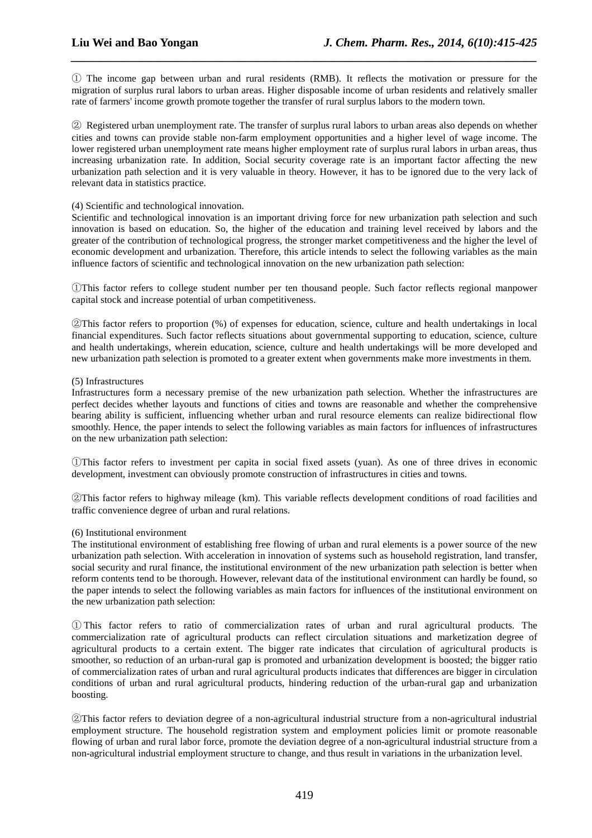① The income gap between urban and rural residents (RMB). It reflects the motivation or pressure for the migration of surplus rural labors to urban areas. Higher disposable income of urban residents and relatively smaller rate of farmers' income growth promote together the transfer of rural surplus labors to the modern town.

*\_\_\_\_\_\_\_\_\_\_\_\_\_\_\_\_\_\_\_\_\_\_\_\_\_\_\_\_\_\_\_\_\_\_\_\_\_\_\_\_\_\_\_\_\_\_\_\_\_\_\_\_\_\_\_\_\_\_\_\_\_\_\_\_\_\_\_\_\_\_\_\_\_\_\_\_\_\_*

② Registered urban unemployment rate. The transfer of surplus rural labors to urban areas also depends on whether cities and towns can provide stable non-farm employment opportunities and a higher level of wage income. The lower registered urban unemployment rate means higher employment rate of surplus rural labors in urban areas, thus increasing urbanization rate. In addition, Social security coverage rate is an important factor affecting the new urbanization path selection and it is very valuable in theory. However, it has to be ignored due to the very lack of relevant data in statistics practice.

# (4) Scientific and technological innovation.

Scientific and technological innovation is an important driving force for new urbanization path selection and such innovation is based on education. So, the higher of the education and training level received by labors and the greater of the contribution of technological progress, the stronger market competitiveness and the higher the level of economic development and urbanization. Therefore, this article intends to select the following variables as the main influence factors of scientific and technological innovation on the new urbanization path selection:

①This factor refers to college student number per ten thousand people. Such factor reflects regional manpower capital stock and increase potential of urban competitiveness.

②This factor refers to proportion (%) of expenses for education, science, culture and health undertakings in local financial expenditures. Such factor reflects situations about governmental supporting to education, science, culture and health undertakings, wherein education, science, culture and health undertakings will be more developed and new urbanization path selection is promoted to a greater extent when governments make more investments in them.

# (5) Infrastructures

Infrastructures form a necessary premise of the new urbanization path selection. Whether the infrastructures are perfect decides whether layouts and functions of cities and towns are reasonable and whether the comprehensive bearing ability is sufficient, influencing whether urban and rural resource elements can realize bidirectional flow smoothly. Hence, the paper intends to select the following variables as main factors for influences of infrastructures on the new urbanization path selection:

①This factor refers to investment per capita in social fixed assets (yuan). As one of three drives in economic development, investment can obviously promote construction of infrastructures in cities and towns.

②This factor refers to highway mileage (km). This variable reflects development conditions of road facilities and traffic convenience degree of urban and rural relations.

#### (6) Institutional environment

The institutional environment of establishing free flowing of urban and rural elements is a power source of the new urbanization path selection. With acceleration in innovation of systems such as household registration, land transfer, social security and rural finance, the institutional environment of the new urbanization path selection is better when reform contents tend to be thorough. However, relevant data of the institutional environment can hardly be found, so the paper intends to select the following variables as main factors for influences of the institutional environment on the new urbanization path selection:

① This factor refers to ratio of commercialization rates of urban and rural agricultural products. The commercialization rate of agricultural products can reflect circulation situations and marketization degree of agricultural products to a certain extent. The bigger rate indicates that circulation of agricultural products is smoother, so reduction of an urban-rural gap is promoted and urbanization development is boosted; the bigger ratio of commercialization rates of urban and rural agricultural products indicates that differences are bigger in circulation conditions of urban and rural agricultural products, hindering reduction of the urban-rural gap and urbanization boosting.

②This factor refers to deviation degree of a non-agricultural industrial structure from a non-agricultural industrial employment structure. The household registration system and employment policies limit or promote reasonable flowing of urban and rural labor force, promote the deviation degree of a non-agricultural industrial structure from a non-agricultural industrial employment structure to change, and thus result in variations in the urbanization level.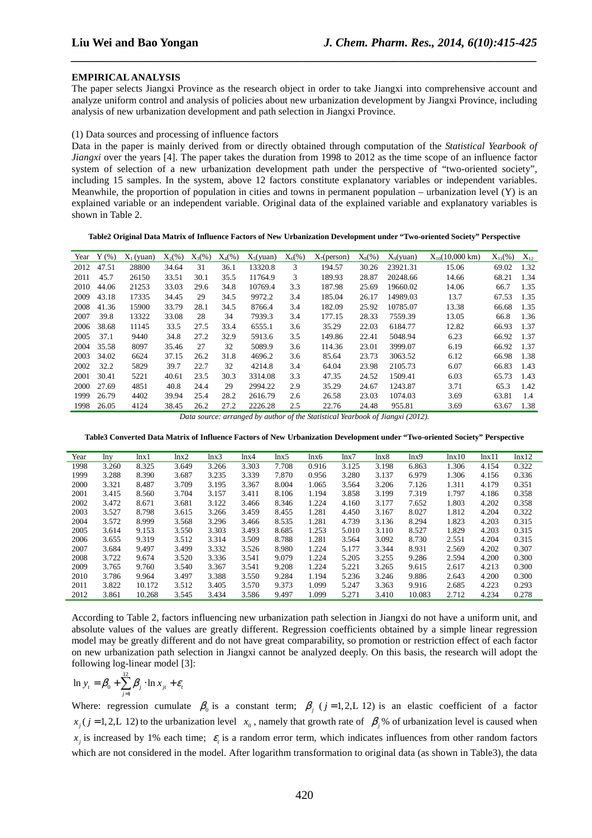#### **EMPIRICAL ANALYSIS**

The paper selects Jiangxi Province as the research object in order to take Jiangxi into comprehensive account and analyze uniform control and analysis of policies about new urbanization development by Jiangxi Province, including analysis of new urbanization development and path selection in Jiangxi Province.

*\_\_\_\_\_\_\_\_\_\_\_\_\_\_\_\_\_\_\_\_\_\_\_\_\_\_\_\_\_\_\_\_\_\_\_\_\_\_\_\_\_\_\_\_\_\_\_\_\_\_\_\_\_\_\_\_\_\_\_\_\_\_\_\_\_\_\_\_\_\_\_\_\_\_\_\_\_\_*

#### (1) Data sources and processing of influence factors

Data in the paper is mainly derived from or directly obtained through computation of the *Statistical Yearbook of Jiangxi* over the years [4]. The paper takes the duration from 1998 to 2012 as the time scope of an influence factor system of selection of a new urbanization development path under the perspective of "two-oriented society", including 15 samples. In the system, above 12 factors constitute explanatory variables or independent variables. Meanwhile, the proportion of population in cities and towns in permanent population – urbanization level  $(Y)$  is an explained variable or an independent variable. Original data of the explained variable and explanatory variables is shown in Table 2.

#### **Table2 Original Data Matrix of Influence Factors of New Urbanization Development under "Two-oriented Society" Perspective**

| Year | $Y$ (%) | $X_1$ (yuan) | $X_2(\% )$ | $X_3(\%)$ | $X_4(\% )$ | $X_5(yuan)$               | $X_6(% )$                   | $X_7$ (person)           | $X_8(\%)$                 | $X_9(vuan)$ | $X_{10}(10,000 \text{ km})$ | $X_{11}$ (%) | $X_{12}$ |
|------|---------|--------------|------------|-----------|------------|---------------------------|-----------------------------|--------------------------|---------------------------|-------------|-----------------------------|--------------|----------|
| 2012 | 47.51   | 28800        | 34.64      | 31        | 36.1       | 13320.8                   | 3                           | 194.57                   | 30.26                     | 23921.31    | 15.06                       | 69.02        | 1.32     |
| 2011 | 45.7    | 26150        | 33.51      | 30.1      | 35.5       | 11764.9                   | 3                           | 189.93                   | 28.87                     | 20248.66    | 14.66                       | 68.21        | 1.34     |
| 2010 | 44.06   | 21253        | 33.03      | 29.6      | 34.8       | 10769.4                   | 3.3                         | 187.98                   | 25.69                     | 19660.02    | 14.06                       | 66.7         | 1.35     |
| 2009 | 43.18   | 17335        | 34.45      | 29        | 34.5       | 9972.2                    | 3.4                         | 185.04                   | 26.17                     | 14989.03    | 13.7                        | 67.53        | 1.35     |
| 2008 | 41.36   | 15900        | 33.79      | 28.1      | 34.5       | 8766.4                    | 3.4                         | 182.09                   | 25.92                     | 10785.07    | 13.38                       | 66.68        | 1.35     |
| 2007 | 39.8    | 13322        | 33.08      | 28        | 34         | 7939.3                    | 3.4                         | 177.15                   | 28.33                     | 7559.39     | 13.05                       | 66.8         | 1.36     |
| 2006 | 38.68   | 11145        | 33.5       | 27.5      | 33.4       | 6555.1                    | 3.6                         | 35.29                    | 22.03                     | 6184.77     | 12.82                       | 66.93        | 1.37     |
| 2005 | 37.1    | 9440         | 34.8       | 27.2      | 32.9       | 5913.6                    | 3.5                         | 149.86                   | 22.41                     | 5048.94     | 6.23                        | 66.92        | 1.37     |
| 2004 | 35.58   | 8097         | 35.46      | 27        | 32         | 5089.9                    | 3.6                         | 114.36                   | 23.01                     | 3999.07     | 6.19                        | 66.92        | 1.37     |
| 2003 | 34.02   | 6624         | 37.15      | 26.2      | 31.8       | 4696.2                    | 3.6                         | 85.64                    | 23.73                     | 3063.52     | 6.12                        | 66.98        | 1.38     |
| 2002 | 32.2    | 5829         | 39.7       | 22.7      | 32         | 4214.8                    | 3.4                         | 64.04                    | 23.98                     | 2105.73     | 6.07                        | 66.83        | 1.43     |
| 2001 | 30.41   | 5221         | 40.61      | 23.5      | 30.3       | 3314.08                   | 3.3                         | 47.35                    | 24.52                     | 1509.41     | 6.03                        | 65.73        | 1.43     |
| 2000 | 27.69   | 4851         | 40.8       | 24.4      | 29         | 2994.22                   | 2.9                         | 35.29                    | 24.67                     | 1243.87     | 3.71                        | 65.3         | 1.42     |
| 1999 | 26.79   | 4402         | 39.94      | 25.4      | 28.2       | 2616.79                   | 2.6                         | 26.58                    | 23.03                     | 1074.03     | 3.69                        | 63.81        | 1.4      |
| 1998 | 26.05   | 4124         | 38.45      | 26.2      | 27.2       | 2226.28                   | 2.5                         | 22.76                    | 24.48                     | 955.81      | 3.69                        | 63.67        | 1.38     |
|      |         |              | $\sqrt{ }$ |           |            | $\mathbf{r}$<br>$\cdot$ 1 | $\mathcal{C}$ $\mathcal{I}$ | $\sigma$ $\sim$ $\sigma$ | $\mathbf{r}$ $\mathbf{r}$ | (0.010)     |                             |              |          |

*Data source: arranged by author of the Statistical Yearbook of Jiangxi (2012).* 

**Table3 Converted Data Matrix of Influence Factors of New Urbanization Development under "Two-oriented Society" Perspective** 

| Year | lnv   | lnx 1  | lnx2  | lnx <sub>3</sub> | lnx4  | lnx5  | lnx6  | lnx7  | lnx8  | lnx9   | lnx10 | lnx11 | lnx12 |
|------|-------|--------|-------|------------------|-------|-------|-------|-------|-------|--------|-------|-------|-------|
| 1998 | 3.260 | 8.325  | 3.649 | 3.266            | 3.303 | 7.708 | 0.916 | 3.125 | 3.198 | 6.863  | 1.306 | 4.154 | 0.322 |
| 1999 | 3.288 | 8.390  | 3.687 | 3.235            | 3.339 | 7.870 | 0.956 | 3.280 | 3.137 | 6.979  | 1.306 | 4.156 | 0.336 |
| 2000 | 3.321 | 8.487  | 3.709 | 3.195            | 3.367 | 8.004 | 1.065 | 3.564 | 3.206 | 7.126  | 1.311 | 4.179 | 0.351 |
| 2001 | 3.415 | 8.560  | 3.704 | 3.157            | 3.411 | 8.106 | 1.194 | 3.858 | 3.199 | 7.319  | 1.797 | 4.186 | 0.358 |
| 2002 | 3.472 | 8.671  | 3.681 | 3.122            | 3.466 | 8.346 | 1.224 | 4.160 | 3.177 | 7.652  | 1.803 | 4.202 | 0.358 |
| 2003 | 3.527 | 8.798  | 3.615 | 3.266            | 3.459 | 8.455 | 1.281 | 4.450 | 3.167 | 8.027  | 1.812 | 4.204 | 0.322 |
| 2004 | 3.572 | 8.999  | 3.568 | 3.296            | 3.466 | 8.535 | 1.281 | 4.739 | 3.136 | 8.294  | 1.823 | 4.203 | 0.315 |
| 2005 | 3.614 | 9.153  | 3.550 | 3.303            | 3.493 | 8.685 | 1.253 | 5.010 | 3.110 | 8.527  | 1.829 | 4.203 | 0.315 |
| 2006 | 3.655 | 9.319  | 3.512 | 3.314            | 3.509 | 8.788 | 1.281 | 3.564 | 3.092 | 8.730  | 2.551 | 4.204 | 0.315 |
| 2007 | 3.684 | 9.497  | 3.499 | 3.332            | 3.526 | 8.980 | 1.224 | 5.177 | 3.344 | 8.931  | 2.569 | 4.202 | 0.307 |
| 2008 | 3.722 | 9.674  | 3.520 | 3.336            | 3.541 | 9.079 | 1.224 | 5.205 | 3.255 | 9.286  | 2.594 | 4.200 | 0.300 |
| 2009 | 3.765 | 9.760  | 3.540 | 3.367            | 3.541 | 9.208 | 1.224 | 5.221 | 3.265 | 9.615  | 2.617 | 4.213 | 0.300 |
| 2010 | 3.786 | 9.964  | 3.497 | 3.388            | 3.550 | 9.284 | 1.194 | 5.236 | 3.246 | 9.886  | 2.643 | 4.200 | 0.300 |
| 2011 | 3.822 | 10.172 | 3.512 | 3.405            | 3.570 | 9.373 | 1.099 | 5.247 | 3.363 | 9.916  | 2.685 | 4.223 | 0.293 |
| 2012 | 3.861 | 10.268 | 3.545 | 3.434            | 3.586 | 9.497 | 1.099 | 5.271 | 3.410 | 10.083 | 2.712 | 4.234 | 0.278 |

According to Table 2, factors influencing new urbanization path selection in Jiangxi do not have a uniform unit, and absolute values of the values are greatly different. Regression coefficients obtained by a simple linear regression model may be greatly different and do not have great comparability, so promotion or restriction effect of each factor on new urbanization path selection in Jiangxi cannot be analyzed deeply. On this basis, the research will adopt the following log-linear model [3]:

$$
\ln y_t = \beta_0 + \sum_{j=1}^{12} \beta_j \cdot \ln x_{jt} + \varepsilon_t
$$

Where: regression cumulate  $\beta_0$  is a constant term;  $\beta_j$  ( $j=1,2,L$  12) is an elastic coefficient of a factor  $x_j$  ( $j = 1, 2, L$  12) to the urbanization level  $x_0$ , namely that growth rate of  $\beta_j$ % of urbanization level is caused when  $x_j$  is increased by 1% each time;  $\varepsilon$ <sub>i</sub> is a random error term, which indicates influences from other random factors which are not considered in the model. After logarithm transformation to original data (as shown in Table3), the data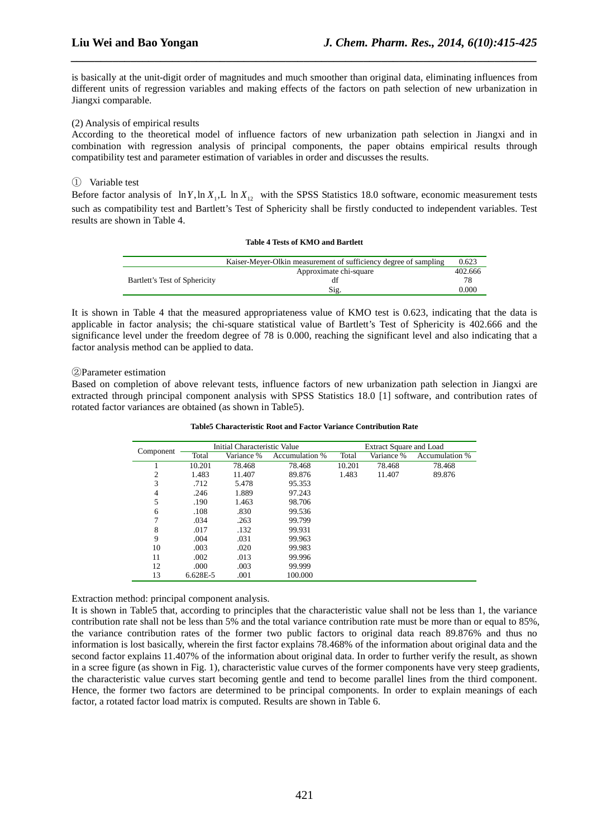is basically at the unit-digit order of magnitudes and much smoother than original data, eliminating influences from different units of regression variables and making effects of the factors on path selection of new urbanization in Jiangxi comparable.

*\_\_\_\_\_\_\_\_\_\_\_\_\_\_\_\_\_\_\_\_\_\_\_\_\_\_\_\_\_\_\_\_\_\_\_\_\_\_\_\_\_\_\_\_\_\_\_\_\_\_\_\_\_\_\_\_\_\_\_\_\_\_\_\_\_\_\_\_\_\_\_\_\_\_\_\_\_\_*

# (2) Analysis of empirical results

According to the theoretical model of influence factors of new urbanization path selection in Jiangxi and in combination with regression analysis of principal components, the paper obtains empirical results through compatibility test and parameter estimation of variables in order and discusses the results.

# ① Variable test

Before factor analysis of  $\ln Y$ ,  $\ln X$ <sub>1</sub>, L  $\ln X$ <sub>12</sub> with the SPSS Statistics 18.0 software, economic measurement tests such as compatibility test and Bartlett's Test of Sphericity shall be firstly conducted to independent variables. Test results are shown in Table 4.

# **Table 4 Tests of KMO and Bartlett**

|                               | Kaiser-Meyer-Olkin measurement of sufficiency degree of sampling | 0.623   |
|-------------------------------|------------------------------------------------------------------|---------|
|                               | Approximate chi-square                                           | 402.666 |
| Bartlett's Test of Sphericity |                                                                  |         |
|                               | Sig.                                                             | 0.000   |

It is shown in Table 4 that the measured appropriateness value of KMO test is 0.623, indicating that the data is applicable in factor analysis; the chi-square statistical value of Bartlett's Test of Sphericity is 402.666 and the significance level under the freedom degree of 78 is 0.000, reaching the significant level and also indicating that a factor analysis method can be applied to data.

②Parameter estimation

Based on completion of above relevant tests, influence factors of new urbanization path selection in Jiangxi are extracted through principal component analysis with SPSS Statistics 18.0 [1] software, and contribution rates of rotated factor variances are obtained (as shown in Table5).

|               |          | Initial Characteristic Value |                       |        | <b>Extract Square and Load</b> |                       |
|---------------|----------|------------------------------|-----------------------|--------|--------------------------------|-----------------------|
| Component     | Total    | Variance %                   | <b>Accumulation</b> % | Total  | Variance %                     | <b>Accumulation</b> % |
|               | 10.201   | 78.468                       | 78.468                | 10.201 | 78.468                         | 78.468                |
| 2             | 1.483    | 11.407                       | 89.876                | 1.483  | 11.407                         | 89.876                |
| 3             | .712     | 5.478                        | 95.353                |        |                                |                       |
| 4             | .246     | 1.889                        | 97.243                |        |                                |                       |
| 5             | .190     | 1.463                        | 98.706                |        |                                |                       |
| 6             | .108     | .830                         | 99.536                |        |                                |                       |
| $\mathcal{I}$ | .034     | .263                         | 99.799                |        |                                |                       |
| 8             | .017     | .132                         | 99.931                |        |                                |                       |
| 9             | .004     | .031                         | 99.963                |        |                                |                       |
| 10            | .003     | .020                         | 99.983                |        |                                |                       |
| 11            | .002     | .013                         | 99.996                |        |                                |                       |
| 12            | .000     | .003                         | 99.999                |        |                                |                       |
| 13            | 6.628E-5 | .001                         | 100.000               |        |                                |                       |

**Table5 Characteristic Root and Factor Variance Contribution Rate** 

Extraction method: principal component analysis.

It is shown in Table5 that, according to principles that the characteristic value shall not be less than 1, the variance contribution rate shall not be less than 5% and the total variance contribution rate must be more than or equal to 85%, the variance contribution rates of the former two public factors to original data reach 89.876% and thus no information is lost basically, wherein the first factor explains 78.468% of the information about original data and the second factor explains 11.407% of the information about original data. In order to further verify the result, as shown in a scree figure (as shown in Fig. 1), characteristic value curves of the former components have very steep gradients, the characteristic value curves start becoming gentle and tend to become parallel lines from the third component. Hence, the former two factors are determined to be principal components. In order to explain meanings of each factor, a rotated factor load matrix is computed. Results are shown in Table 6.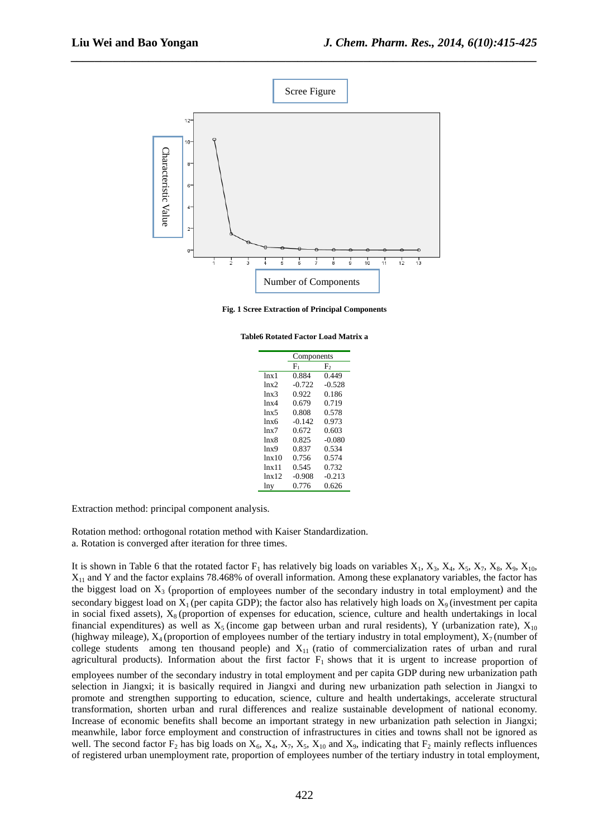

*\_\_\_\_\_\_\_\_\_\_\_\_\_\_\_\_\_\_\_\_\_\_\_\_\_\_\_\_\_\_\_\_\_\_\_\_\_\_\_\_\_\_\_\_\_\_\_\_\_\_\_\_\_\_\_\_\_\_\_\_\_\_\_\_\_\_\_\_\_\_\_\_\_\_\_\_\_\_*

**Fig. 1 Scree Extraction of Principal Components** 

**Table6 Rotated Factor Load Matrix a** 

|                  | Components |          |
|------------------|------------|----------|
|                  | $F_{1}$    | F,       |
| ln x1            | 0.884      | 0.449    |
| lnx2             | $-0.722$   | $-0.528$ |
| lnx3             | 0.922      | 0.186    |
| lnx4             | 0.679      | 0.719    |
| lnx <sub>5</sub> | 0.808      | 0.578    |
| lnx6             | $-0.142$   | 0.973    |
| lnx7             | 0.672      | 0.603    |
| lnx8             | 0.825      | $-0.080$ |
| lnx9             | 0.837      | 0.534    |
| lnx10            | 0.756      | 0.574    |
| lnx11            | 0.545      | 0.732    |
| $lnx$ 12         | $-0.908$   | $-0.213$ |
| lny              | 0.776      | 0.626    |
|                  |            |          |

Extraction method: principal component analysis.

Rotation method: orthogonal rotation method with Kaiser Standardization.

a. Rotation is converged after iteration for three times.

It is shown in Table 6 that the rotated factor  $F_1$  has relatively big loads on variables  $X_1, X_3, X_4, X_5, X_7, X_8, X_9, X_{10}$  $X_{11}$  and Y and the factor explains 78.468% of overall information. Among these explanatory variables, the factor has the biggest load on  $X_3$  (proportion of employees number of the secondary industry in total employment) and the secondary biggest load on  $X_1$  (per capita GDP); the factor also has relatively high loads on  $X_9$  (investment per capita in social fixed assets),  $X_8$  (proportion of expenses for education, science, culture and health undertakings in local financial expenditures) as well as  $X_5$  (income gap between urban and rural residents), Y (urbanization rate),  $X_{10}$ (highway mileage),  $X_4$  (proportion of employees number of the tertiary industry in total employment),  $X_7$  (number of college students among ten thousand people) and  $X_{11}$  (ratio of commercialization rates of urban and rural agricultural products). Information about the first factor  $F_1$  shows that it is urgent to increase proportion of employees number of the secondary industry in total employment and per capita GDP during new urbanization path selection in Jiangxi; it is basically required in Jiangxi and during new urbanization path selection in Jiangxi to promote and strengthen supporting to education, science, culture and health undertakings, accelerate structural transformation, shorten urban and rural differences and realize sustainable development of national economy. Increase of economic benefits shall become an important strategy in new urbanization path selection in Jiangxi; meanwhile, labor force employment and construction of infrastructures in cities and towns shall not be ignored as well. The second factor  $F_2$  has big loads on  $X_6$ ,  $X_4$ ,  $X_7$ ,  $X_5$ ,  $X_{10}$  and  $X_9$ , indicating that  $F_2$  mainly reflects influences of registered urban unemployment rate, proportion of employees number of the tertiary industry in total employment,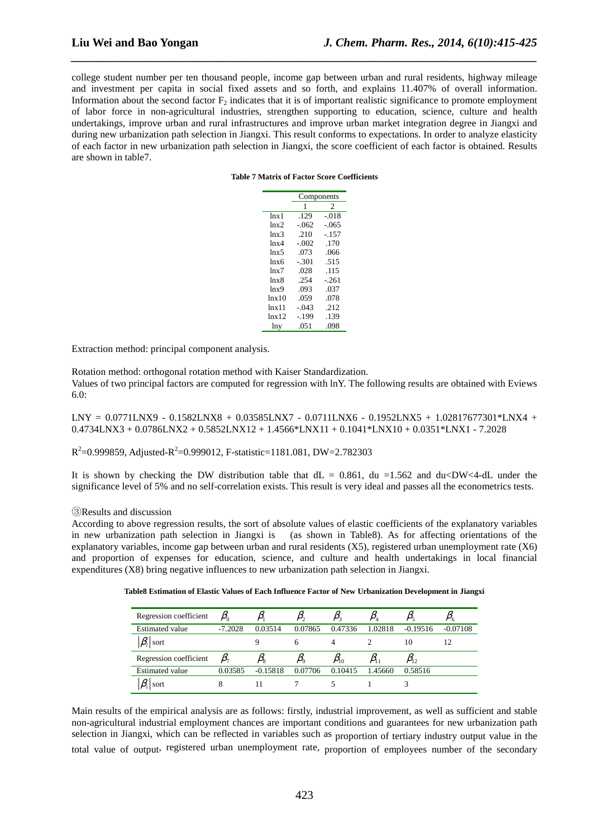college student number per ten thousand people, income gap between urban and rural residents, highway mileage and investment per capita in social fixed assets and so forth, and explains 11.407% of overall information. Information about the second factor  $F_2$  indicates that it is of important realistic significance to promote employment of labor force in non-agricultural industries, strengthen supporting to education, science, culture and health undertakings, improve urban and rural infrastructures and improve urban market integration degree in Jiangxi and during new urbanization path selection in Jiangxi. This result conforms to expectations. In order to analyze elasticity of each factor in new urbanization path selection in Jiangxi, the score coefficient of each factor is obtained. Results are shown in table7.

*\_\_\_\_\_\_\_\_\_\_\_\_\_\_\_\_\_\_\_\_\_\_\_\_\_\_\_\_\_\_\_\_\_\_\_\_\_\_\_\_\_\_\_\_\_\_\_\_\_\_\_\_\_\_\_\_\_\_\_\_\_\_\_\_\_\_\_\_\_\_\_\_\_\_\_\_\_\_*

#### **Table 7 Matrix of Factor Score Coefficients**

|                  |         | Components     |
|------------------|---------|----------------|
|                  | 1       | $\overline{c}$ |
| ln x1            | .129    | $-0.018$       |
| lnx2             | $-.062$ | $-.065$        |
| lnx3             | .210    | $-.157$        |
| lnx4             | $-.002$ | .170           |
| lnx <sub>5</sub> | .073    | .066           |
| lnx6             | $-.301$ | .515           |
| lnx7             | .028    | .115           |
| lnx8             | .254    | $-.261$        |
| lnx9             | .093    | .037           |
| lnx10            | .059    | .078           |
| lnx11            | $-.043$ | .212           |
| lnx12            | $-.199$ | .139           |
| lny              | .051    | .098           |

Extraction method: principal component analysis.

Rotation method: orthogonal rotation method with Kaiser Standardization.

Values of two principal factors are computed for regression with lnY. The following results are obtained with Eviews 6.0:

LNY = 0.0771LNX9 - 0.1582LNX8 + 0.03585LNX7 - 0.0711LNX6 - 0.1952LNX5 + 1.02817677301\*LNX4 +  $0.4734LNX3 + 0.0786LNX2 + 0.5852LNX12 + 1.4566*LNX11 + 0.1041*LNX10 + 0.0351*LNX1 - 7.2028$ 

 $R^2$ =0.999859, Adjusted- $R^2$ =0.999012, F-statistic=1181.081, DW=2.782303

It is shown by checking the DW distribution table that  $dL = 0.861$ ,  $du = 1.562$  and  $du < DW < 4$ -dL under the significance level of 5% and no self-correlation exists. This result is very ideal and passes all the econometrics tests.

③Results and discussion

According to above regression results, the sort of absolute values of elastic coefficients of the explanatory variables in new urbanization path selection in Jiangxi is (as shown in Table8). As for affecting orientations of the explanatory variables, income gap between urban and rural residents (X5), registered urban unemployment rate (X6) and proportion of expenses for education, science, and culture and health undertakings in local financial expenditures (X8) bring negative influences to new urbanization path selection in Jiangxi.

| Table8 Estimation of Elastic Values of Each Influence Factor of New Urbanization Development in Jiangxi |  |  |  |  |  |  |
|---------------------------------------------------------------------------------------------------------|--|--|--|--|--|--|
|                                                                                                         |  |  |  |  |  |  |

| Regression coefficient |           |            |         |          |         |            |            |
|------------------------|-----------|------------|---------|----------|---------|------------|------------|
| Estimated value        | $-7.2028$ | 0.03514    | 0.07865 | 0.47336  | 1.02818 | $-0.19516$ | $-0.07108$ |
| $\beta_i$<br>sort      |           |            | 6       | 4        |         | 10         | 12         |
| Regression coefficient |           |            |         | $P_{10}$ |         | $P_{12}$   |            |
|                        |           |            |         |          |         |            |            |
| Estimated value        | 0.03585   | $-0.15818$ | 0.07706 | 0.10415  | 1.45660 | 0.58516    |            |

Main results of the empirical analysis are as follows: firstly, industrial improvement, as well as sufficient and stable non-agricultural industrial employment chances are important conditions and guarantees for new urbanization path selection in Jiangxi, which can be reflected in variables such as proportion of tertiary industry output value in the total value of output, registered urban unemployment rate, proportion of employees number of the secondary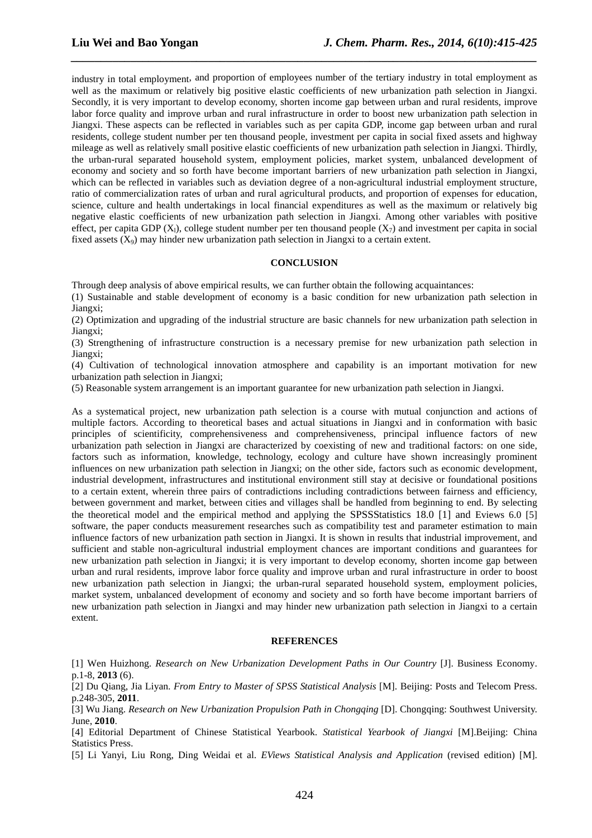industry in total employment, and proportion of employees number of the tertiary industry in total employment as well as the maximum or relatively big positive elastic coefficients of new urbanization path selection in Jiangxi. Secondly, it is very important to develop economy, shorten income gap between urban and rural residents, improve labor force quality and improve urban and rural infrastructure in order to boost new urbanization path selection in Jiangxi. These aspects can be reflected in variables such as per capita GDP, income gap between urban and rural residents, college student number per ten thousand people, investment per capita in social fixed assets and highway mileage as well as relatively small positive elastic coefficients of new urbanization path selection in Jiangxi. Thirdly, the urban-rural separated household system, employment policies, market system, unbalanced development of economy and society and so forth have become important barriers of new urbanization path selection in Jiangxi, which can be reflected in variables such as deviation degree of a non-agricultural industrial employment structure, ratio of commercialization rates of urban and rural agricultural products, and proportion of expenses for education, science, culture and health undertakings in local financial expenditures as well as the maximum or relatively big negative elastic coefficients of new urbanization path selection in Jiangxi. Among other variables with positive effect, per capita GDP (X<sub>1</sub>), college student number per ten thousand people (X<sub>7</sub>) and investment per capita in social fixed assets  $(X_9)$  may hinder new urbanization path selection in Jiangxi to a certain extent.

*\_\_\_\_\_\_\_\_\_\_\_\_\_\_\_\_\_\_\_\_\_\_\_\_\_\_\_\_\_\_\_\_\_\_\_\_\_\_\_\_\_\_\_\_\_\_\_\_\_\_\_\_\_\_\_\_\_\_\_\_\_\_\_\_\_\_\_\_\_\_\_\_\_\_\_\_\_\_*

#### **CONCLUSION**

Through deep analysis of above empirical results, we can further obtain the following acquaintances:

(1) Sustainable and stable development of economy is a basic condition for new urbanization path selection in Jiangxi;

(2) Optimization and upgrading of the industrial structure are basic channels for new urbanization path selection in Jiangxi;

(3) Strengthening of infrastructure construction is a necessary premise for new urbanization path selection in Jiangxi;

(4) Cultivation of technological innovation atmosphere and capability is an important motivation for new urbanization path selection in Jiangxi;

(5) Reasonable system arrangement is an important guarantee for new urbanization path selection in Jiangxi.

As a systematical project, new urbanization path selection is a course with mutual conjunction and actions of multiple factors. According to theoretical bases and actual situations in Jiangxi and in conformation with basic principles of scientificity, comprehensiveness and comprehensiveness, principal influence factors of new urbanization path selection in Jiangxi are characterized by coexisting of new and traditional factors: on one side, factors such as information, knowledge, technology, ecology and culture have shown increasingly prominent influences on new urbanization path selection in Jiangxi; on the other side, factors such as economic development, industrial development, infrastructures and institutional environment still stay at decisive or foundational positions to a certain extent, wherein three pairs of contradictions including contradictions between fairness and efficiency, between government and market, between cities and villages shall be handled from beginning to end. By selecting the theoretical model and the empirical method and applying the SPSSStatistics 18.0 [1] and Eviews 6.0 [5] software, the paper conducts measurement researches such as compatibility test and parameter estimation to main influence factors of new urbanization path section in Jiangxi. It is shown in results that industrial improvement, and sufficient and stable non-agricultural industrial employment chances are important conditions and guarantees for new urbanization path selection in Jiangxi; it is very important to develop economy, shorten income gap between urban and rural residents, improve labor force quality and improve urban and rural infrastructure in order to boost new urbanization path selection in Jiangxi; the urban-rural separated household system, employment policies, market system, unbalanced development of economy and society and so forth have become important barriers of new urbanization path selection in Jiangxi and may hinder new urbanization path selection in Jiangxi to a certain extent.

#### **REFERENCES**

[1] Wen Huizhong. *Research on New Urbanization Development Paths in Our Country* [J]. Business Economy. p.1-8, **2013** (6).

[2] Du Qiang, Jia Liyan. *From Entry to Master of SPSS Statistical Analysis* [M]. Beijing: Posts and Telecom Press. p.248-305, **2011**.

[3] Wu Jiang. *Research on New Urbanization Propulsion Path in Chongqing* [D]. Chongqing: Southwest University. June, **2010**.

[4] Editorial Department of Chinese Statistical Yearbook. *Statistical Yearbook of Jiangxi* [M].Beijing: China Statistics Press.

[5] Li Yanyi, Liu Rong, Ding Weidai et al. *EViews Statistical Analysis and Application* (revised edition) [M].